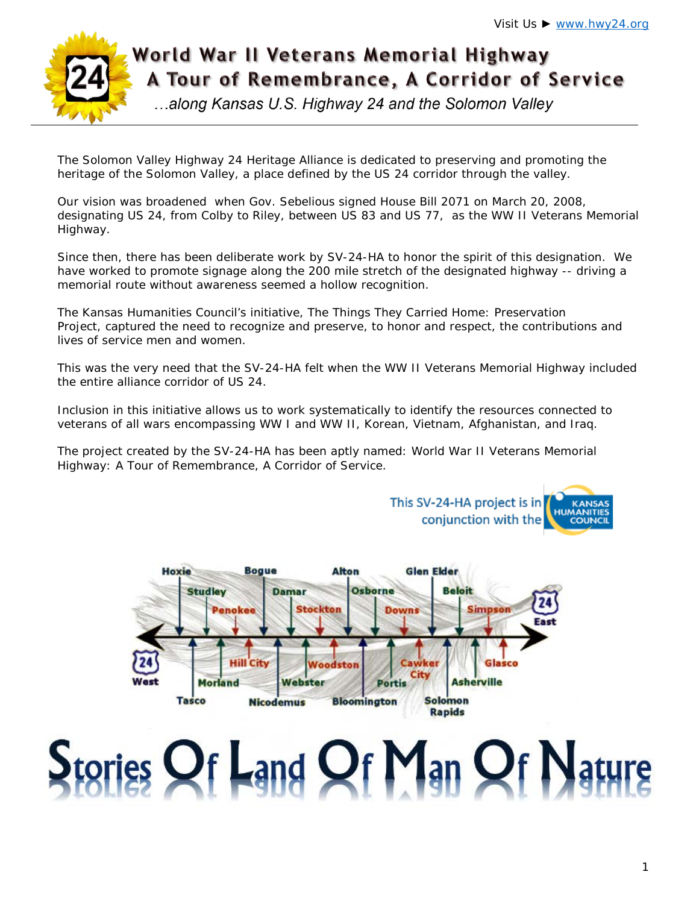

# World War II Veterans Memorial Highway A Tour of Remembrance, A Corridor of Service

...along Kansas U.S. Highway 24 and the Solomon Valley

The Solomon Valley Highway 24 Heritage Alliance is dedicated to preserving and promoting the heritage of the Solomon Valley, a place defined by the US 24 corridor through the valley.

Our vision was broadened when Gov. Sebelious signed House Bill 2071 on March 20, 2008, designating US 24, from Colby to Riley, between US 83 and US 77, as the WW II Veterans Memorial Highway.

Since then, there has been deliberate work by SV-24-HA to honor the spirit of this designation. We have worked to promote signage along the 200 mile stretch of the designated highway -- driving a memorial route without awareness seemed a hollow recognition.

The Kansas Humanities Council's initiative, The Things They Carried Home: Preservation Project, captured the need to recognize and preserve, to honor and respect, the contributions and lives of service men and women.

This was the very need that the SV-24-HA felt when the WW II Veterans Memorial Highway included the entire alliance corridor of US 24.

Inclusion in this initiative allows us to work systematically to identify the resources connected to veterans of all wars encompassing WW I and WW II, Korean, Vietnam, Afghanistan, and Iraq.

The project created by the SV-24-HA has been aptly named: World War II Veterans Memorial Highway: A Tour of Remembrance, A Corridor of Service.



# tories Of Land Of Man Of Nature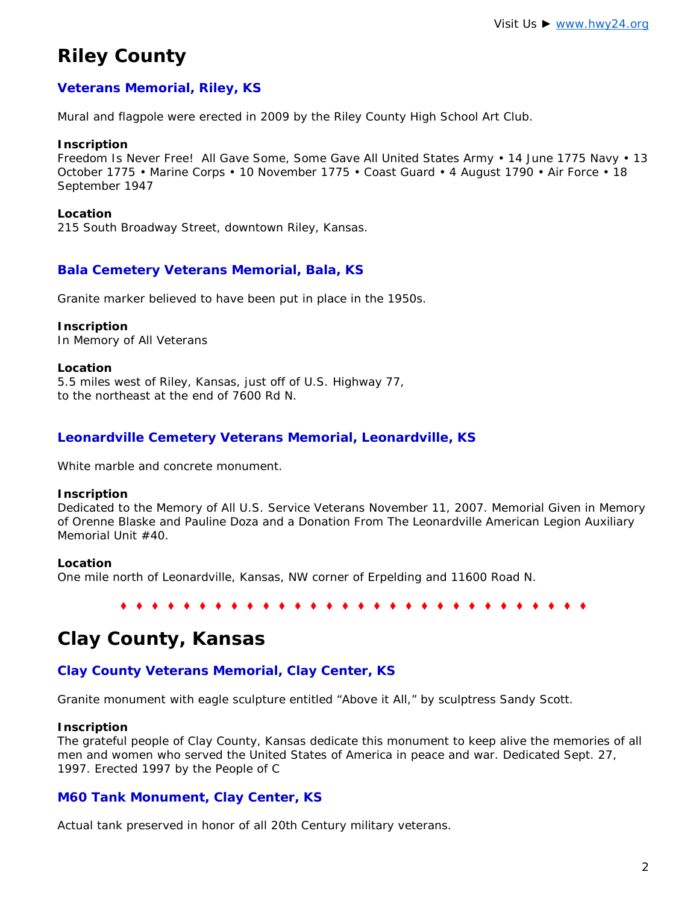# **Riley County**

## **Veterans Memorial, Riley, KS**

Mural and flagpole were erected in 2009 by the Riley County High School Art Club.

#### **Inscription**

*Freedom Is Never Free! All Gave Some, Some Gave All United States Army • 14 June 1775 Navy • 13 October 1775 • Marine Corps • 10 November 1775 • Coast Guard • 4 August 1790 • Air Force • 18 September 1947*

#### **Location**

215 South Broadway Street, downtown Riley, Kansas.

## **Bala Cemetery Veterans Memorial, Bala, KS**

Granite marker believed to have been put in place in the 1950s.

#### **Inscription**

*In Memory of All Veterans*

#### **Location**

5.5 miles west of Riley, Kansas, just off of U.S. Highway 77, to the northeast at the end of 7600 Rd N.

## **Leonardville Cemetery Veterans Memorial, Leonardville, KS**

White marble and concrete monument.

#### **Inscription**

*Dedicated to the Memory of All U.S. Service Veterans November 11, 2007. Memorial Given in Memory of Orenne Blaske and Pauline Doza and a Donation From The Leonardville American Legion Auxiliary Memorial Unit #40.*

#### **Location**

One mile north of Leonardville, Kansas, NW corner of Erpelding and 11600 Road N.

♦ ♦ ♦ ♦ ♦ ♦ ♦ ♦ ♦ ♦ ♦ ♦ ♦ ♦ ♦ ♦ ♦ ♦ ♦ ♦ ♦ ♦ ♦ ♦ ♦ ♦ ♦ ♦ ♦ ♦

# **Clay County, Kansas**

## **Clay County Veterans Memorial, Clay Center, KS**

Granite monument with eagle sculpture entitled "Above it All," by sculptress Sandy Scott.

#### **Inscription**

*The grateful people of Clay County, Kansas dedicate this monument to keep alive the memories of all men and women who served the United States of America in peace and war. Dedicated Sept. 27, 1997. Erected 1997 by the People of C*

## **M60 Tank Monument, Clay Center, KS**

Actual tank preserved in honor of all 20th Century military veterans.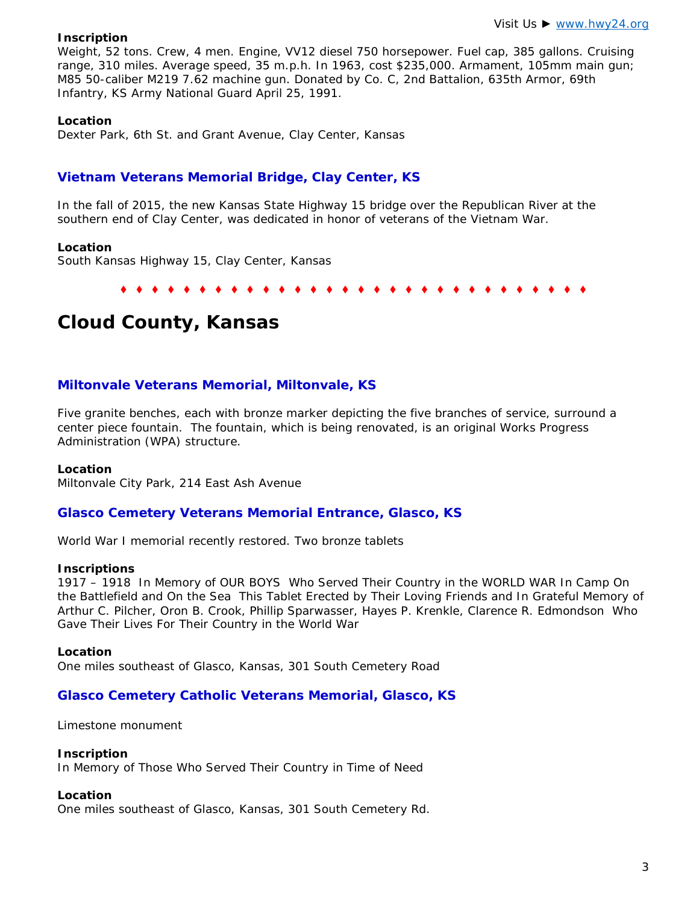#### **Inscription**

*Weight, 52 tons. Crew, 4 men. Engine, VV12 diesel 750 horsepower. Fuel cap, 385 gallons. Cruising range, 310 miles. Average speed, 35 m.p.h. In 1963, cost \$235,000. Armament, 105mm main gun; M85 50-caliber M219 7.62 machine gun. Donated by Co. C, 2nd Battalion, 635th Armor, 69th Infantry, KS Army National Guard April 25, 1991*.

#### **Location**

Dexter Park, 6th St. and Grant Avenue, Clay Center, Kansas

## **Vietnam Veterans Memorial Bridge, Clay Center, KS**

In the fall of 2015, the new Kansas State Highway 15 bridge over the Republican River at the southern end of Clay Center, was dedicated in honor of veterans of the Vietnam War.

#### **Location**

South Kansas Highway 15, Clay Center, Kansas

♦ ♦ ♦ ♦ ♦ ♦ ♦ ♦ ♦ ♦ ♦ ♦ ♦ ♦ ♦ ♦ ♦ ♦ ♦ ♦ ♦ ♦ ♦ ♦ ♦ ♦ ♦ ♦ ♦ ♦

# **Cloud County, Kansas**

#### **Miltonvale Veterans Memorial, Miltonvale, KS**

Five granite benches, each with bronze marker depicting the five branches of service, surround a center piece fountain. The fountain, which is being renovated, is an original *Works Progress Administration* (WPA) structure.

#### **Location**

Miltonvale City Park, 214 East Ash Avenue

#### **Glasco Cemetery Veterans Memorial Entrance, Glasco, KS**

World War I memorial recently restored. Two bronze tablets

#### **Inscriptions**

*1917 – 1918 In Memory of OUR BOYS Who Served Their Country in the WORLD WAR In Camp On the Battlefield and On the Sea This Tablet Erected by Their Loving Friends* and *In Grateful Memory of Arthur C. Pilcher, Oron B. Crook, Phillip Sparwasser, Hayes P. Krenkle, Clarence R. Edmondson Who Gave Their Lives For Their Country in the World War*

#### **Location**

One miles southeast of Glasco, Kansas, 301 South Cemetery Road

#### **Glasco Cemetery Catholic Veterans Memorial, Glasco, KS**

Limestone monument

#### **Inscription**

*In Memory of Those Who Served Their Country in Time of Need*

#### **Location**

One miles southeast of Glasco, Kansas, 301 South Cemetery Rd.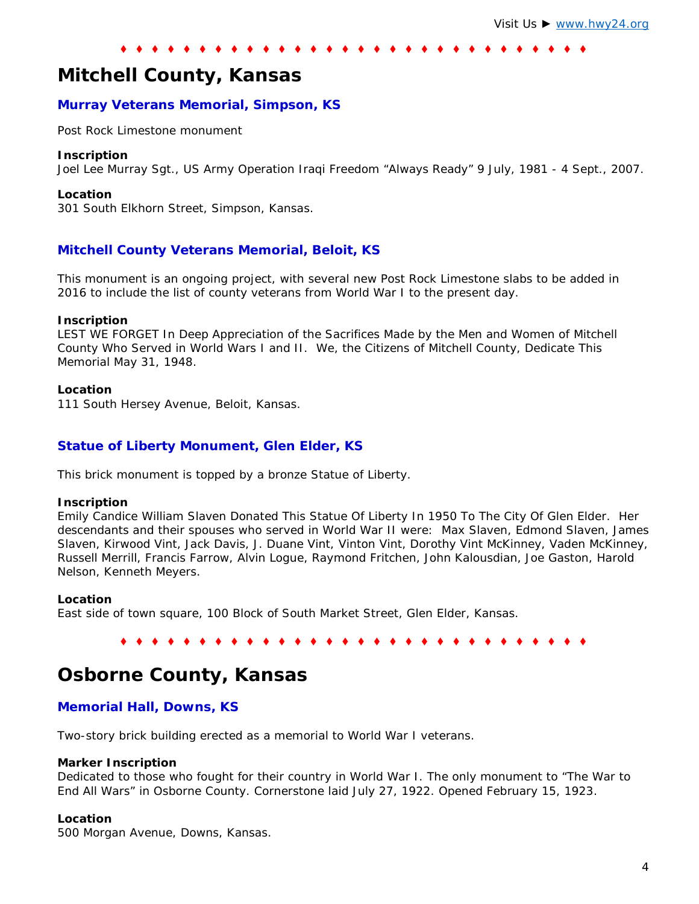# **Mitchell County, Kansas**

#### **Murray Veterans Memorial, Simpson, KS**

Post Rock Limestone monument

#### **Inscription**

Joel Lee Murray Sgt., US Army Operation Iraqi Freedom "Always Ready" 9 July, 1981 - 4 Sept., 2007.

#### **Location**

301 South Elkhorn Street, Simpson, Kansas.

#### **Mitchell County Veterans Memorial, Beloit, KS**

This monument is an ongoing project, with several new Post Rock Limestone slabs to be added in 2016 to include the list of county veterans from World War I to the present day.

#### **Inscription**

*LEST WE FORGET In Deep Appreciation of the Sacrifices Made by the Men and Women of Mitchell County Who Served in World Wars I and II. We, the Citizens of Mitchell County, Dedicate This Memorial May 31, 1948.*

#### **Location**

111 South Hersey Avenue, Beloit, Kansas.

#### **Statue of Liberty Monument, Glen Elder, KS**

This brick monument is topped by a bronze Statue of Liberty.

#### **Inscription**

*Emily Candice William Slaven Donated This Statue Of Liberty In 1950 To The City Of Glen Elder. Her descendants and their spouses who served in World War II were: Max Slaven, Edmond Slaven, James Slaven, Kirwood Vint, Jack Davis, J. Duane Vint, Vinton Vint, Dorothy Vint McKinney, Vaden McKinney, Russell Merrill, Francis Farrow, Alvin Logue, Raymond Fritchen, John Kalousdian, Joe Gaston, Harold Nelson, Kenneth Meyers.*

#### **Location**

East side of town square, 100 Block of South Market Street, Glen Elder, Kansas.

#### ♦ ♦ ♦ ♦ ♦ ♦ ♦ ♦ ♦ ♦ ♦ ♦ ♦ ♦ ♦ ♦ ♦ ♦ ♦ ♦ ♦ ♦ ♦ ♦ ♦ ♦ ♦ ♦ ♦ ♦

## **Osborne County, Kansas**

#### **Memorial Hall, Downs, KS**

Two-story brick building erected as a memorial to World War I veterans.

#### **Marker Inscription**

*Dedicated to those who fought for their country in World War I. The only monument to "The War to End All Wars" in Osborne County. Cornerstone laid July 27, 1922. Opened February 15, 1923.*

#### **Location**

500 Morgan Avenue, Downs, Kansas.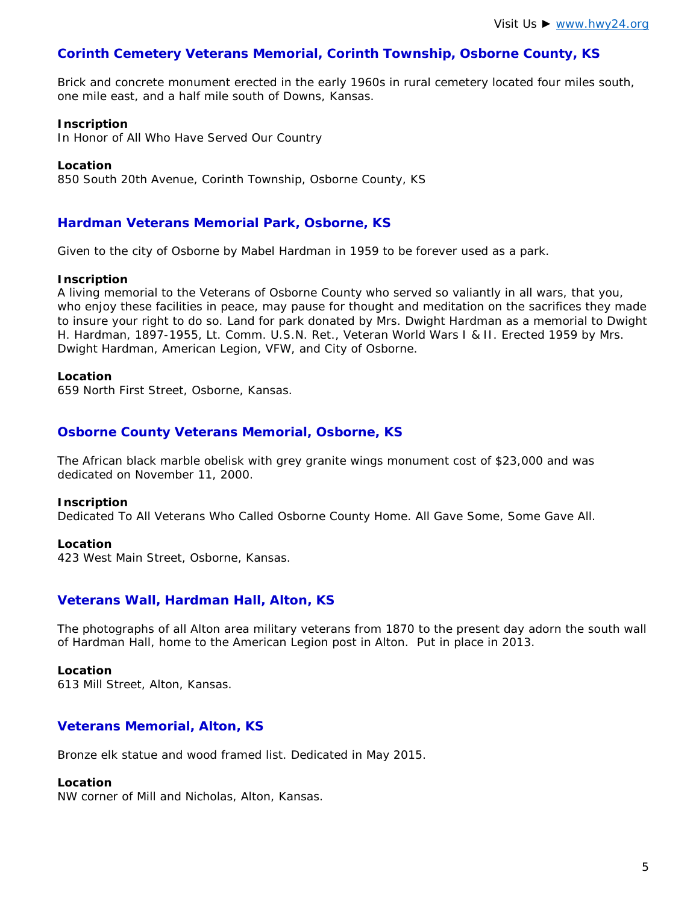## **Corinth Cemetery Veterans Memorial, Corinth Township, Osborne County, KS**

Brick and concrete monument erected in the early 1960s in rural cemetery located four miles south, one mile east, and a half mile south of Downs, Kansas.

#### **Inscription**

*In Honor of All Who Have Served Our Country*

#### **Location**

850 South 20th Avenue, Corinth Township, Osborne County, KS

#### **Hardman Veterans Memorial Park, Osborne, KS**

Given to the city of Osborne by Mabel Hardman in 1959 to be forever used as a park.

#### **Inscription**

*A living memorial to the Veterans of Osborne County who served so valiantly in all wars, that you,*  who enjoy these facilities in peace, may pause for thought and meditation on the sacrifices they made *to insure your right to do so. Land for park donated by Mrs. Dwight Hardman as a memorial to Dwight H. Hardman, 1897-1955, Lt. Comm. U.S.N. Ret., Veteran World Wars I & II. Erected 1959 by Mrs. Dwight Hardman, American Legion, VFW, and City of Osborne.*

#### **Location**

659 North First Street, Osborne, Kansas.

#### **Osborne County Veterans Memorial, Osborne, KS**

The African black marble obelisk with grey granite wings monument cost of \$23,000 and was dedicated on November 11, 2000.

#### **Inscription**

*Dedicated To All Veterans Who Called Osborne County Home. All Gave Some, Some Gave All.*

#### **Location**

423 West Main Street, Osborne, Kansas.

#### **Veterans Wall, Hardman Hall, Alton, KS**

The photographs of all Alton area military veterans from 1870 to the present day adorn the south wall of Hardman Hall, home to the American Legion post in Alton. Put in place in 2013.

#### **Location**

613 Mill Street, Alton, Kansas.

#### **Veterans Memorial, Alton, KS**

Bronze elk statue and wood framed list. Dedicated in May 2015.

#### **Location**

NW corner of Mill and Nicholas, Alton, Kansas.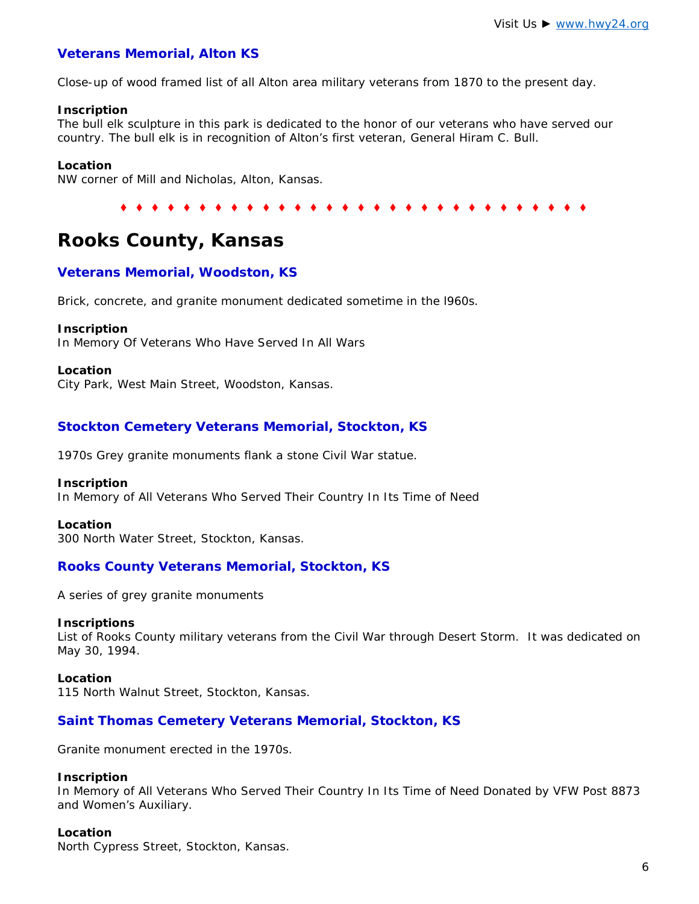## **Veterans Memorial, Alton KS**

Close-up of wood framed list of all Alton area military veterans from 1870 to the present day.

#### **Inscription**

*The bull elk sculpture in this park is dedicated to the honor of our veterans who have served our country. The bull elk is in recognition of Alton's first veteran, General Hiram C. Bull.*

#### **Location**

NW corner of Mill and Nicholas, Alton, Kansas.

#### ♦ ♦ ♦ ♦ ♦ ♦ ♦ ♦ ♦ ♦ ♦ ♦ ♦ ♦ ♦ ♦ ♦ ♦ ♦ ♦ ♦ ♦ ♦ ♦ ♦ ♦ ♦ ♦ ♦ ♦

# **Rooks County, Kansas**

## **Veterans Memorial, Woodston, KS**

Brick, concrete, and granite monument dedicated sometime in the l960s.

#### **Inscription**

*In Memory Of Veterans Who Have Served In All Wars*

#### **Location**

City Park, West Main Street, Woodston, Kansas.

## **Stockton Cemetery Veterans Memorial, Stockton, KS**

1970s Grey granite monuments flank a stone Civil War statue.

#### **Inscription**

*In Memory of All Veterans Who Served Their Country In Its Time of Need*

#### **Location**

300 North Water Street, Stockton, Kansas.

#### **Rooks County Veterans Memorial, Stockton, KS**

A series of grey granite monuments

#### **Inscriptions**

List of Rooks County military veterans from the Civil War through Desert Storm. It was dedicated on May 30, 1994.

#### **Location**

115 North Walnut Street, Stockton, Kansas.

#### **Saint Thomas Cemetery Veterans Memorial, Stockton, KS**

Granite monument erected in the 1970s.

#### **Inscription**

*In Memory of All Veterans Who Served Their Country In Its Time of Need Donated by VFW Post 8873 and Women's Auxiliary.*

#### **Location**

North Cypress Street, Stockton, Kansas.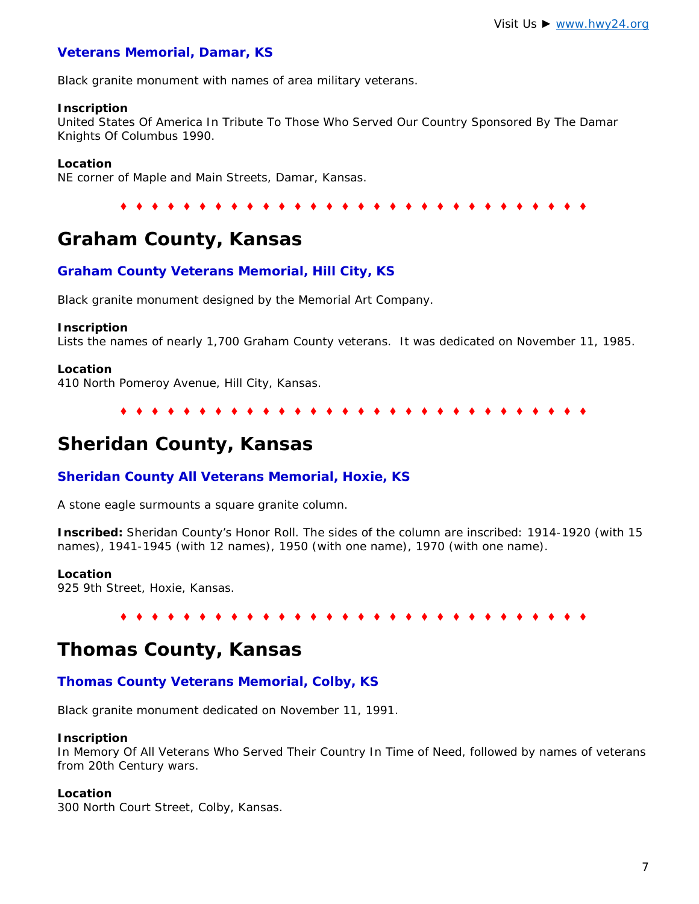## **Veterans Memorial, Damar, KS**

Black granite monument with names of area military veterans.

#### **Inscription**

*United States Of America In Tribute To Those Who Served Our Country Sponsored By The Damar Knights Of Columbus 1990.*

#### **Location**

NE corner of Maple and Main Streets, Damar, Kansas.

♦ ♦ ♦ ♦ ♦ ♦ ♦ ♦ ♦ ♦ ♦ ♦ ♦ ♦ ♦ ♦ ♦ ♦ ♦ ♦ ♦ ♦ ♦ ♦ ♦ ♦ ♦ ♦ ♦ ♦

# **Graham County, Kansas**

#### **Graham County Veterans Memorial, Hill City, KS**

Black granite monument designed by the Memorial Art Company.

#### **Inscription**

Lists the names of nearly 1,700 Graham County veterans. It was dedicated on November 11, 1985.

#### **Location**

410 North Pomeroy Avenue, Hill City, Kansas.

♦ ♦ ♦ ♦ ♦ ♦ ♦ ♦ ♦ ♦ ♦ ♦ ♦ ♦ ♦ ♦ ♦ ♦ ♦ ♦ ♦ ♦ ♦ ♦ ♦ ♦ ♦ ♦ ♦ ♦

# **Sheridan County, Kansas**

#### **Sheridan County All Veterans Memorial, Hoxie, KS**

A stone eagle surmounts a square granite column.

**Inscribed:** *Sheridan County's Honor Roll*. The sides of the column are inscribed: *1914-1920* (with 15 names), *1941-1945* (with 12 names), *1950* (with one name), *1970* (with one name).

#### **Location**

925 9th Street, Hoxie, Kansas.

#### ♦ ♦ ♦ ♦ ♦ ♦ ♦ ♦ ♦ ♦ ♦ ♦ ♦ ♦ ♦ ♦ ♦ ♦ ♦ ♦ ♦ ♦ ♦ ♦ ♦ ♦ ♦ ♦ ♦ ♦

# **Thomas County, Kansas**

#### **Thomas County Veterans Memorial, Colby, KS**

Black granite monument dedicated on November 11, 1991.

#### **Inscription**

*In Memory Of All Veterans Who Served Their Country In Time of Need*, followed by names of veterans from 20th Century wars.

#### **Location**

300 North Court Street, Colby, Kansas.